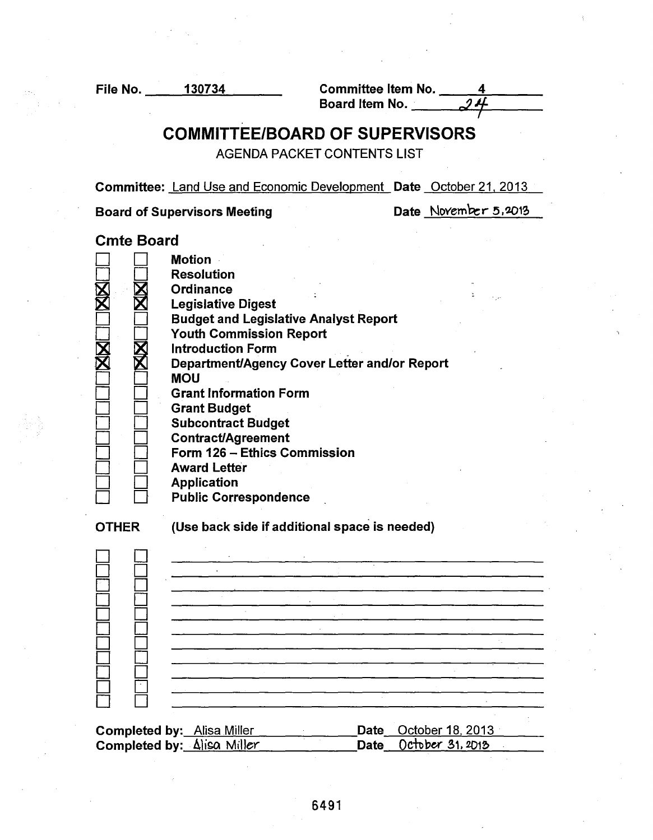File No. 130734 --""""'"""----""-'---- Committee Item No. 4 ----=.,....--- Bo a rd Item No. · *,.J* 'f

# COMMITTEE/BOARD OF SUPERVISORS

AGENDA PACKET CONTENTS LIST

Committee: Land Use and Economic Development Date October 21. 2013

Board of Supervisors Meeting Date November 5, 2013

Cmte Board

|                                                                                                                                | <b>Motion</b><br><b>Resolution</b><br>Ordinance<br><b>Legislative Digest</b><br><b>Budget and Legislative Analyst Report</b><br><b>Youth Commission Report</b><br><b>Introduction Form</b><br>Department/Agency Cover Letter and/or Report<br><b>MOU</b><br><b>Grant Information Form</b><br><b>Grant Budget</b><br><b>Subcontract Budget</b><br><b>Contract/Agreement</b><br>Form 126 - Ethics Commission<br><b>Award Letter</b><br><b>Application</b><br><b>Public Correspondence</b> |  |
|--------------------------------------------------------------------------------------------------------------------------------|-----------------------------------------------------------------------------------------------------------------------------------------------------------------------------------------------------------------------------------------------------------------------------------------------------------------------------------------------------------------------------------------------------------------------------------------------------------------------------------------|--|
| <b>OTHER</b>                                                                                                                   | (Use back side if additional space is needed)                                                                                                                                                                                                                                                                                                                                                                                                                                           |  |
|                                                                                                                                |                                                                                                                                                                                                                                                                                                                                                                                                                                                                                         |  |
| October 18, 2013<br><b>Completed by:</b> Alisa Miller<br>Date<br>Completed by: Alisa Miller<br>October 31, 2013<br><b>Date</b> |                                                                                                                                                                                                                                                                                                                                                                                                                                                                                         |  |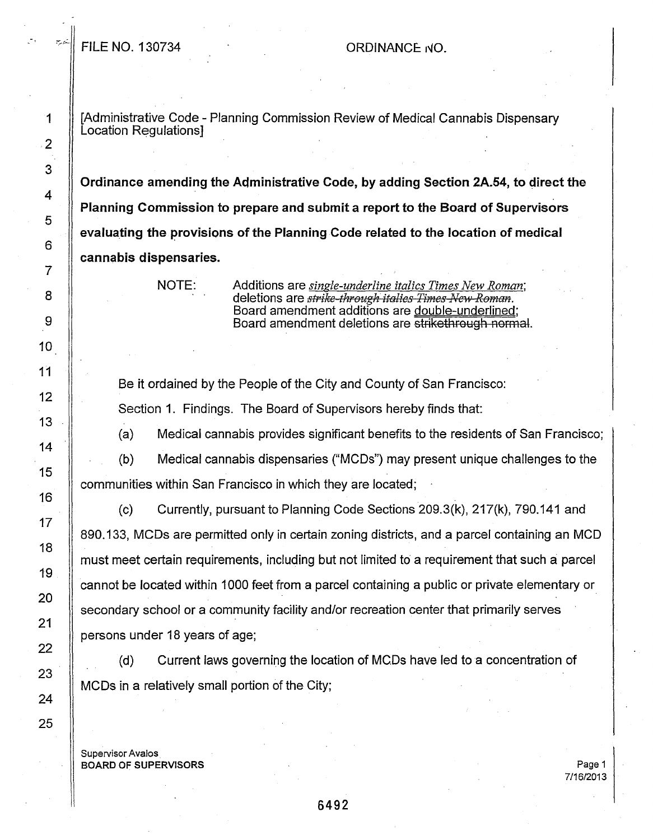# $\vert$  FILE NO. 130734 CRDINANCE  $\vert$  ORDINANCE  $\vert$

1 [Administrative Code - Planning Commission Review of Medical Cannabis Dispensary Location Regulations] .

Ordinance amending the Administrative Code, by adding Section 2A.54, to direct the Planning Commission to prepare and submit a report to the Board of Supervisors evaluating the provisions of the Planning Code related to the location of medical cannabis dispensaries.

NOTE: Additions are *single-underline italics Times New Roman;*  deletions are *strike-through italies Times New Roman.* Board amendment additions are double-underlined; Board amendment deletions are strikethrough normal.

Be it ordained by the People of the City and County of San Francisco: Section 1. Findings. The Board of Supervisors hereby finds that:

(a) Medical cannabis provides significant benefits to the residents of San Francisco;

(b) Medical cannabis dispensaries ("MCDs") may present unique challenges to the communities within San Francisco in which they are located;

(c) Currently, pursuant to Planning Code Sections 209.3(k), 217(k), 790.141 and 890.133, MCDs are permitted only in certain zoning districts, and a parcel containing an MCD must meet certain requirements, including but not limited to a requirement that such a: parcel cannot be located within 1000 feet from a parcel containing a public or private elementary or secondary school or a community facility and/or recreation center that primarily serves persons under 18 years of age;

(d) Current laws governing the location of MC.Os have led to a concentration of MCDs in a relatively small portion of the City;

Supervisor Avalos BOARD OF SUPERVISORS

Page 1 7/16/2013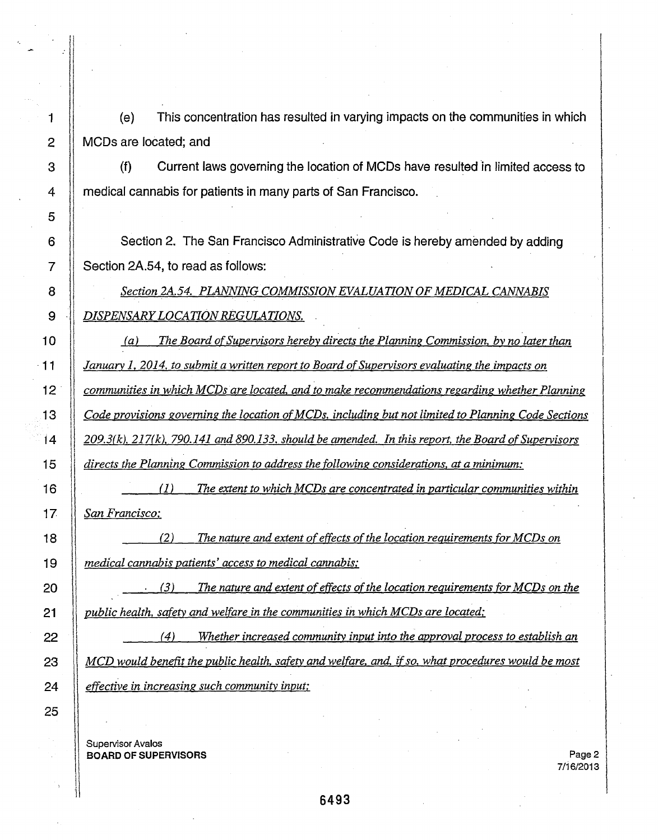1 (e) This concentration has resulted in varying impacts on the communities in which 2 || MCDs are located; and

3 (f) Current laws governing the location of MCDs have resulted in limited access to 4 medical cannabis for patients in many parts of San Francisco.

Section 2. The San Francisco Administrative Code is hereby amended by adding Section 2A.54, to read as follows:

*Section 2A.54. PLANNING COMMISSION EVALUATION OF MEDICAL CANNABIS*  **DISPENSARY LOCATION REGULATIONS.** 

*(a) The Board of Supervisors hereby directs the Planning Commission, by no later than January l, 2014, to submit a written report to Board of Supervisors evaluating the impacts on*  I *communities in which MCDs are located, and to make recommendations regarding whether Planning Code provisions governing the location ofMCDs, including but not limited to Planning Code Sections 209.3(k), 217(k), 790.141and890.133. should be amended. In this report, the Board of Supervisors directs the Planning Commission to address the following considerations, at a minimum:* 

 $\Big\|$   $\frac{2}{\ }$ *(]) The extent to which MCDs are concentrated in particular communities within San Francisco;* 

I *(2) The nature and extent of effects of the location requirements for MCDs on medical cannabis patients' access to medical cannabis;* 

l *(3) The nature and extent of effects of the location requirements for MCDs on the*  public health, safety and welfare in the communities in which MCDs are located;

<sup>11</sup>*( 4) Whether increased community input into the approval process to establish an*   $\overline{MCD}$  would benefit the public health, safety and welfare, and, if so, what procedures would be most *effective in increasing such community input;* 

supervisor Avalos **III. Autor Avalo**s III. Autor III. Autor III. Autor III. Autor III. Autor III. Autor III. Au<br>Supervisor Avalos III. Autor III. Autor III. Autor III. Autor III. Autor III. Autor III. Autor III. Autor III. BOARD OF SUPERVISORS Page2 l

'I

5

6

7

8

10

11

12

13

14

15

16

17

18

19

20

21

l

22

23

24

25

9 ·|| ·<br>|

i

I

I  $\parallel$ 11

7/16/2013

 $\overline{\phantom{a}}$ 

 $\begin{array}{|c|c|} \hline \hline \hline \hline \end{array}$ 

 $\begin{bmatrix} 1 \\ 1 \end{bmatrix}$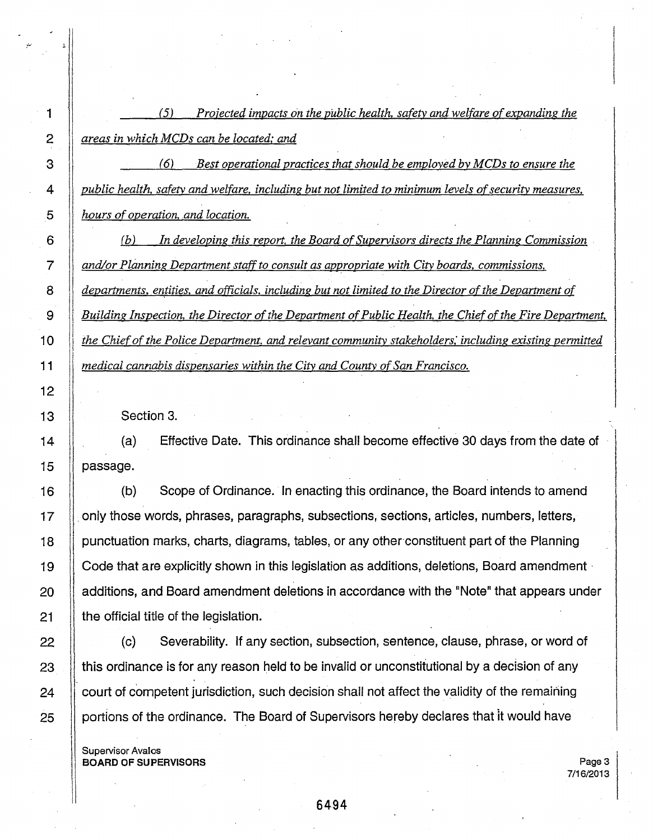11 !1 ii l! 1·

11

 $\begin{bmatrix} \vdots \\ \vdots \\ \vdots \\ \vdots \end{bmatrix}$ 

j1

11

||

:1

 $\prod$ 

1·

 $\mathbf{I}$ 

*(5) Projected impacts on the public health. safety and welfare of expanding the areas in which MCDs can be located,· and* 

*(6) Best operational practices that should be employed by MCDs to ensure the public health. safety and welfare, including but not limited to minimum levels of security measures,*  5 *hours of operation. and location.* 

(b) *In developing this report. the Board of Supervisors directs the Planning Commission* . *and/or Planning Department staff to consult as appropriate with City boards, commissions,* departments, entities, and officials, including but not limited to the Director of the Department of *Building Inspection, the Director of the Department of Public Health, the Chief of the Fire Department, the Chief of the Police Department. and relevant community stakeholders: including existing permitted medical cannabis dispensaries within the City and County of San Francisco.* 

Section 3.

(a) Effective Date. This ordinance shall become effective 30 days from the date of passage.

(b} Scope of Ordinance. In enacting this ordinance, the Board intends to amend  $\vert$ only those words, phrases, paragraphs, subsections, sections, articles, numbers, letters, punctuation marks, charts, diagrams, tables, or any other constituent part of the Planning Code that are explicitly shown in this legislation as additions, deletions, Board amendment · additions, and Board amendment deletions in accordance with the "Note" that appears under the official title of the legislation.

 $\parallel$ (c) Severability. If any section, subsection, sentence, clause, phrase, or word of this ordinance is for any reason held to be invalid or unconstitutional by a decision of any court of competent jurisdiction, such decision shall not affect the validity of the remaining portions of the ordinance. The Board of Supervisors hereby declares that it would have

Supervisor Avalos BOARD OF SUPERVISORS

Page 3 7/16/2013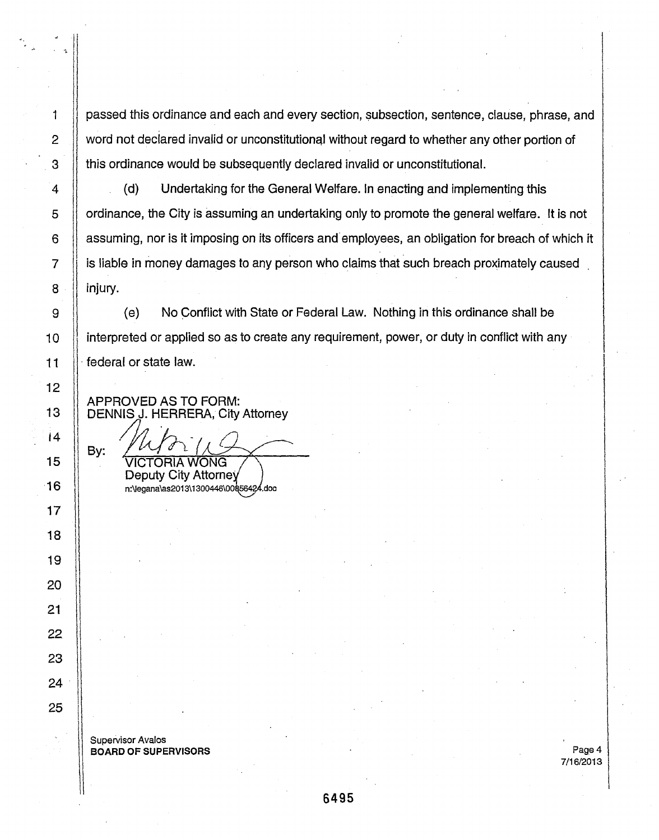passed this ordinance and each and every section, subsection, sentence, clause, phrase, and word not declared invalid or unconstitutional without regard to whether any other portion of this ordinance would be subsequently declared invalid or unconstitutional.

(d) Undertaking for the General Welfare. In enacting and implementing this ordinance, the City is assuming an undertaking only to promote the general welfare. It is not assuming, nor is it imposing on its officers and employees, an obligation for breach of which it is liable in money damages to any person who claims that such breach proximately caused injury.

 $\parallel$ Interpreted or applied so as to create any requirement, power, or duty in conflict with any (e) No Conflict with State or Federal Law. Nothing in this ordinance shall be federal or state law.

 $\parallel$ APPROVED AS TO FORM: DENNIS J. HERRERA, City Attorney

1

1! '1

II

2

3

4

5

6

7

8

I  $\parallel$ 

.l

11

 $\parallel$ 

11

ll

9

10

11

12

13

14

15

16

17

18

19

20

21

22

23

24

25

By: ONG Deputy City Attorney n:\legana\as2013\1300446\00856424.doc

Supervisor Avalos BOARD OF SUPERVISORS

 $\mathbf{I}$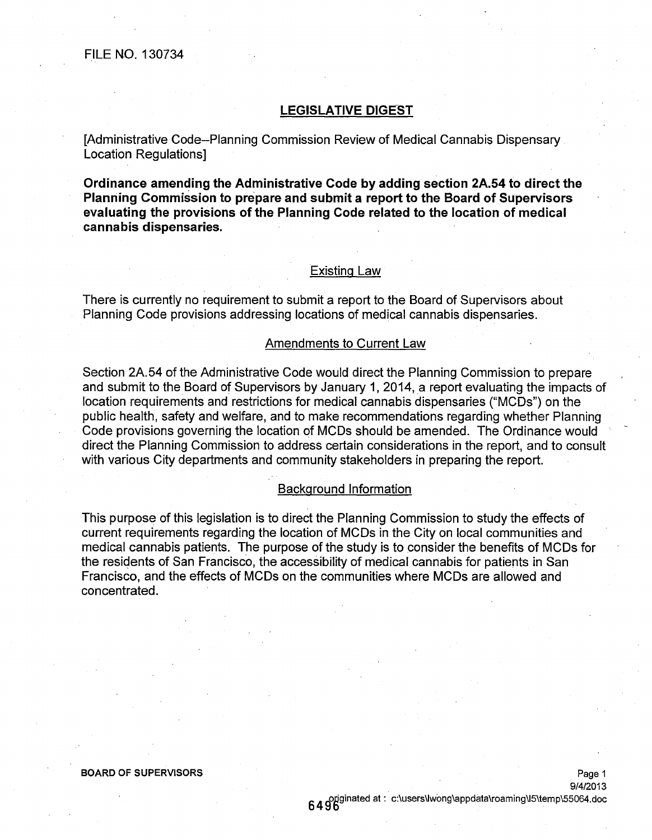# **LEGISLATIVE DIGEST**

[Administrative Code--Planning Commission Review of Medical Cannabis Dispensary Location Regulations]

**Ordinance amending the Administrative Code by adding section 2A.54 to direct the Planning Commission to prepare and submit a report to the Board of Supervisors evaluating the provisions of the Planning Code related to the location of medical cannabis dispensaries.** 

# Existing Law

There is currently no requirement to submit a report to the Board of Supervisors about Planning Code provisions addressing locations of medical cannabis dispensaries.

# Amendments to Current Law

Section 2A.54 of the Administrative Code would direct the Planning Commission to prepare and submit to the Board of Supervisors by January 1, 2014, a report evaluating the impacts of location requirements and restrictions for medical cannabis dispensaries ("MCDs") on the public health, safety and welfare, and to make recommendations regarding whether Planning Code provisions governing the location of MCDs should be amended. The Ordinance would direct the Planning Commission to address certain considerations in the report, and to consult with various City departments and community stakeholders in preparing the report.

# Background Information

This purpose of this legislation is to direct the Planning Commission to study the effects of current requirements regarding the location of MCDs in the City on local communities and medical cannabis patients. The purpose of the study is to consider the benefits of MCDs for the residents of San Francisco, the accessibility of medical cannabis for patients in San Francisco, and the effects of MCDs on the communities where MCDs are allowed and concentrated.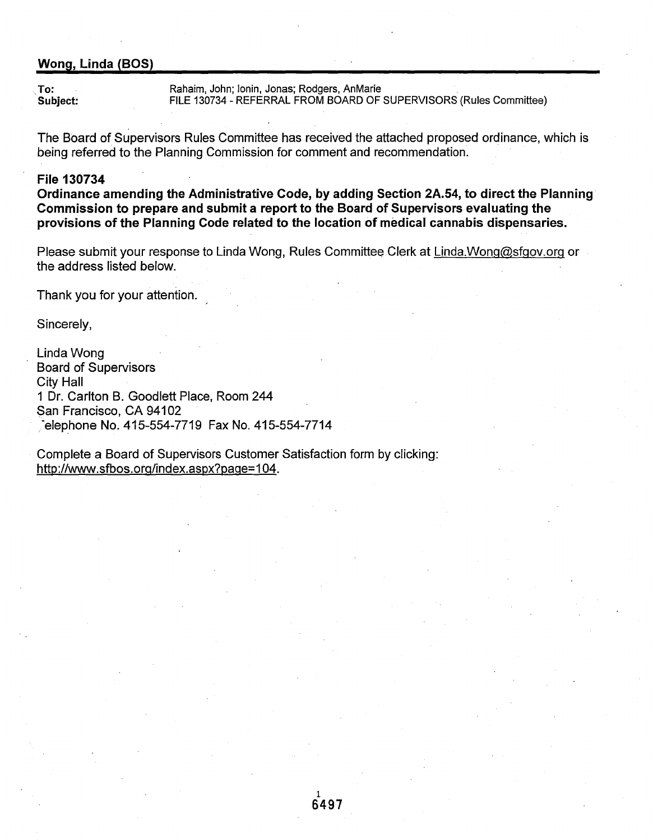# Wong, Linda (BOS)

To: To: Rahaim, John; Ionin, Jonas; Rodgers, AnMarie<br>
FILE 130734 - REFERRAL FROM BOARD OF FILE 130734 - REFERRAL FROM BOARD OF SUPERVISORS (Rules Committee)

The Board of Supervisors Rules Committee has received the attached proposed ordinance, which is being referred to the Planning Commission for comment and recommendation.

## File 130734

Ordinance amending the Administrative Code, by adding Section 2A.54, to direct the Planning Commission to prepare and submit a report to the Board of Supervisors evaluating the provisions of the Planning Code related to the location of medical cannabis dispensaries.

Please submit your response to Linda Wong, Rules Committee Clerk at Linda.Wong@sfgov.org or the address listed below.

Thank you for your attention.

Sincerely,

Linda Wong Board of Supervisors City Hall 1 Dr. Carlton B. Goodlett Place, Room 244 San Francisco, CA 94102 /-elephone No. 415-554-7719 Fax No. 415-554-7714

Complete a Board of Supervisors Customer Satisfaction form by clicking: http://www.sfbos.org/index.aspx?page=104.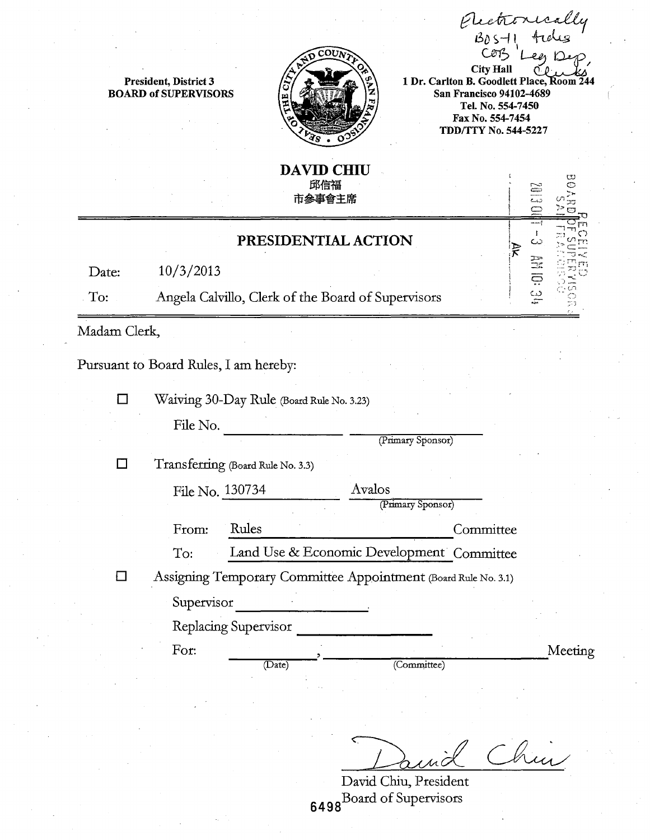Electronically<br>BDS-11 tides<br>COB I en Deo  $Len$ City Hall

President, District 3 BOARD of SUPERVISORS



1 Dr. Carlton B. Goodlett Place, Room 24 San Francisco 94102-4689 Tel. No. 554-7450 Fax No. 554-7454 TDD/TTY No. 544-5227

# 邱信福 市参事會主席

DAVID CHIU

# PRESIDENTIAL ACTION

Date:  $10/3/2013$ 

To: Angela Calvillo, Clerk of the Board of Supervisors

Madam Clerk,

Pursuant to Board Rules, I am hereby:

D Waiving 30-Day Rule (Board Rule No. 3.23)

File No.

(Primary Sponsor)

Transferring (Board Rule No. 3.3)

File No. 130734 Avalos

(Primary Sponsor) From: Rules Committee

To: Land Use & Economic Development Committee

D Assigning Temporary Committee Appointment (Board Rule No. 3.1)

Supervisor ------------------ Replacing Supervisor ------------------- For: -----=,........,---- ----------~----------------~l\1eeting (Date) (Coillillittee)

Chin

David Chiu, President 6498Board of Supervisors